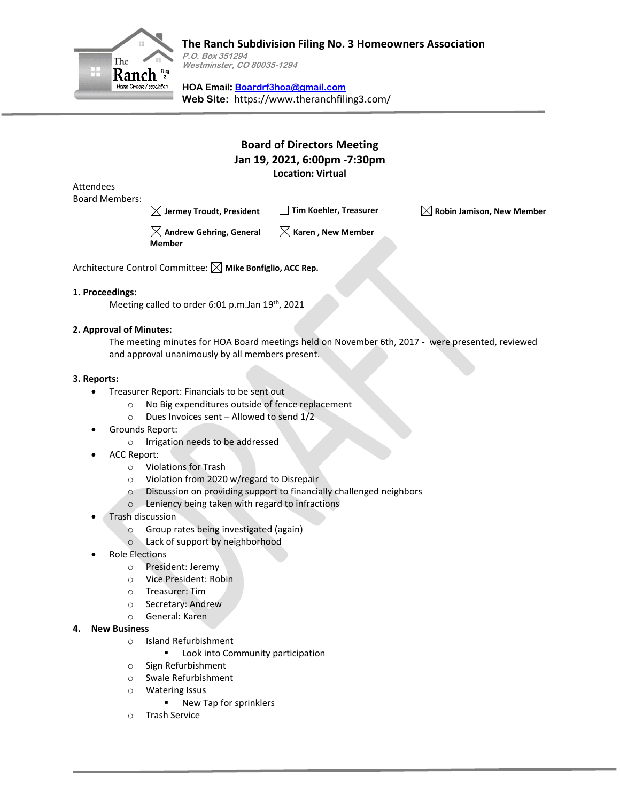

## **The Ranch Subdivision Filing No. 3 Homeowners Association**

**P.O. Box 351294 Westminster, CO 80035-1294**

**HOA Email: [Boardrf3hoa@gmail.com](mailto:Boardrf3hoa@gmail.com) Web Site:** https://www.theranchfiling3.com/

## **Board of Directors Meeting Jan 19, 2021, 6:00pm -7:30pm Location: Virtual**

Attendees Board Members:

**Jermey Troudt, President Tim Koehler, Treasurer Robin Jamison, New Member**

 $\boxtimes$  Andrew Gehring, General **Member**

 $\boxtimes$  Karen , New Member

Architecture Control Committee:  $\boxtimes$  Mike Bonfiglio, ACC Rep.

#### **1. Proceedings:**

Meeting called to order 6:01 p.m.Jan 19<sup>th</sup>, 2021

#### **2. Approval of Minutes:**

The meeting minutes for HOA Board meetings held on November 6th, 2017 - were presented, reviewed and approval unanimously by all members present.

#### **3. Reports:**

- Treasurer Report: Financials to be sent out
	- o No Big expenditures outside of fence replacement
	- o Dues Invoices sent Allowed to send 1/2
- Grounds Report:
	- o Irrigation needs to be addressed
- ACC Report:
	- o Violations for Trash
	- o Violation from 2020 w/regard to Disrepair
	- o Discussion on providing support to financially challenged neighbors
	- o Leniency being taken with regard to infractions
- Trash discussion
	- o Group rates being investigated (again)
	- o Lack of support by neighborhood
- Role Elections
	- o President: Jeremy
	- o Vice President: Robin
	- o Treasurer: Tim
	- o Secretary: Andrew
	- o General: Karen
- **4. New Business**
	- o Island Refurbishment
		- Look into Community participation
	- o Sign Refurbishment
	- o Swale Refurbishment
	- o Watering Issus
		- New Tap for sprinklers
	- o Trash Service